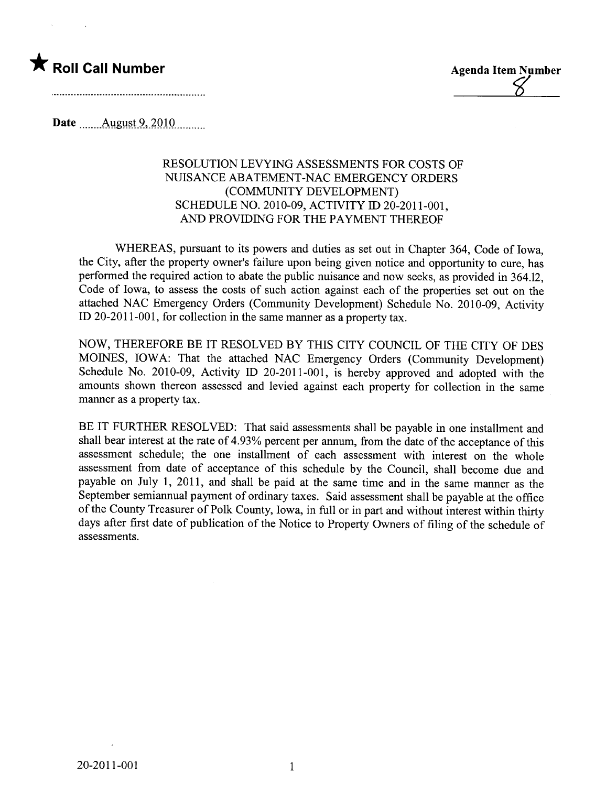



Date **August 9, 2010** ..........

## RESOLUTION LEVYING ASSESSMENTS FOR COSTS OF NUISANCE ABATEMENT-NAC EMERGENCY ORDERS (COMMUNITY DEVELOPMENT) SCHEDULE NO. 2010-09, ACTIVITY ID 20-2011-001, AND PROVIDING FOR THE PAYMENT THEREOF

WHEREAS, pursuant to its powers and duties as set out in Chapter 364, Code of Iowa, the City, after the property owner's failure upon being given notice and opportunity to cure, has performed the required action to abate the public nuisance and now seeks, as provided in 364.12, Code of Iowa, to assess the costs of such action against each of the properties set out on the attached NAC Emergency Orders (Community Development) Schedule No. 2010-09, Activity ID 20-2011-001, for collection in the same maner as a property tax.

NOW, THEREFORE BE IT RESOLVED BY THIS CITY COUNCIL OF THE CITY OF DES MOINES, IOWA: That the attached NAC Emergency Orders (Community Development) Schedule No. 2010-09, Activity ID 20-2011-001, is hereby approved and adopted with the amounts shown thereon assessed and levied against each property for collection in the same manner as a property tax.

BE IT FURTHER RESOLVED: That said assessments shall be payable in one installment and shall bear interest at the rate of 4.93% percent per annum, from the date of the acceptance of this assessment schedule; the one installment of each assessment with interest on the whole assessment from date of acceptance of this schedule by the Council, shall become due and payable on July 1, 2011, and shall be paid at the same time and in the same manner as the September semiannual payment of ordinary taxes. Said assessment shall be payable at the office of the County Treasurer of Polk County, Iowa, in full or in part and without interest within thirty days after first date of publication of the Notice to Property Owners of filing of the schedule of assessments.